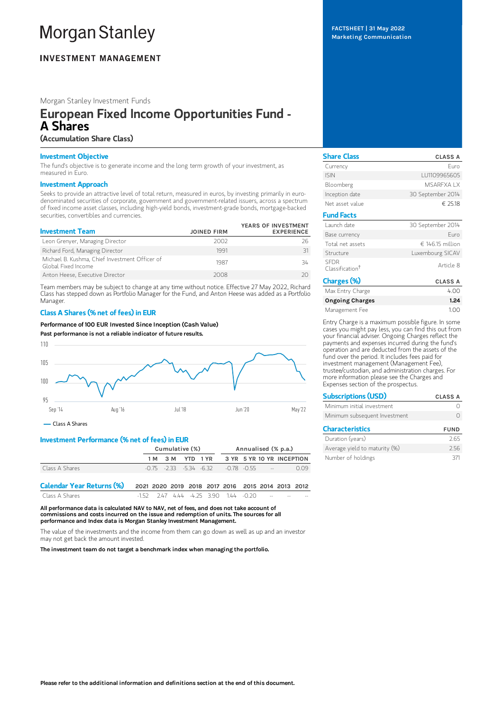# **Morgan Stanley**

# **INVESTMENT MANAGEMENT**

Morgan Stanley Investment Funds

# European Fixed Income Opportunities Fund - A Shares

# (Accumulation Share Class)

## Investment Objective

The fund's objective is to generate income and the long term growth of your investment, as measured in Euro.

## Investment Approach

Seeks to provide an attractive level of total return, measured in euros, by investing primarily in eurodenominated securities of corporate, government and government-related issuers, across a spectrum of fixed income asset classes, including high-yield bonds, investment-grade bonds, mortgage-backed securities, convertibles and currencies.

| <b>Investment Team</b>                                                | <b>JOINED FIRM</b> | YEARS OF INVESTMENT<br><b>EXPERIENCE</b> |
|-----------------------------------------------------------------------|--------------------|------------------------------------------|
| Leon Grenyer, Managing Director                                       | 2002               | 26                                       |
| Richard Ford, Managing Director                                       | 1991               | 31                                       |
| Michael B. Kushma, Chief Investment Officer of<br>Global Fixed Income | 1987               | 34                                       |
| Anton Heese, Executive Director                                       | 2008               |                                          |

Team members may be subject to change at any time without notice. Effective 27 May 2022, Richard Class has stepped down as Portfolio Manager for the Fund, and Anton Heese was added as a Portfolio Manager.

## Class A Shares (% net of fees) in EUR

Performance of 100 EUR Invested Since Inception (Cash Value)

Past performance is not a reliable indicator of future results.



Class A Shares

# Investment Performance (% net of fees) in EUR

|                                  | Cumulative (%)                                    |                  |  |                                                     | Annualised (% p.a.)       |  |  |  |      |
|----------------------------------|---------------------------------------------------|------------------|--|-----------------------------------------------------|---------------------------|--|--|--|------|
|                                  |                                                   | 1 M 3 M YTD 1 YR |  |                                                     | 3 YR 5 YR 10 YR INCEPTION |  |  |  |      |
| Class A Shares                   |                                                   |                  |  | $-0.75$ $-2.33$ $-5.34$ $-6.32$ $-0.78$ $-0.55$ $-$ |                           |  |  |  | 0.09 |
| <b>Calendar Year Returns (%)</b> | 2021 2020 2019 2018 2017 2016 2015 2014 2013 2012 |                  |  |                                                     |                           |  |  |  |      |
| Class A Shares                   | $-1.52$ 2.47 4.44 $-4.25$ 3.90 1.44 $-0.20$       |                  |  |                                                     |                           |  |  |  |      |

All performance data is calculated NAV to NAV, net of fees, and does not take account of commissions and costs incurred on the issue and redemption of units. The sources for all performance and Index data is Morgan Stanley Investment Management.

The value of the investments and the income from them can go down as well as up and an investor may not get back the amount invested.

The investment team do not target a benchmark index when managing the portfolio.

FACTSHEET | 31 May 2022 Marketing Communication

| <b>Share Class</b>                         | <b>CLASS A</b>    |
|--------------------------------------------|-------------------|
| Currency                                   | Furo              |
| <b>ISIN</b>                                | LU1109965605      |
| Bloomberg                                  | <b>MSAREXAIX</b>  |
| Inception date                             | 30 September 2014 |
| Net asset value                            | € 25.18           |
| <b>Fund Facts</b>                          |                   |
| Launch date                                | 30 September 2014 |
| Base currency                              | Furo              |
| Total net assets                           | € 146.15 million  |
| Structure                                  | Luxembourg SICAV  |
| <b>SEDR</b><br>Classification <sup>+</sup> | Article 8         |
| Charges (%)                                | <b>CLASS A</b>    |
| Max Entry Charge                           | 4.00              |
| <b>Ongoing Charges</b>                     | 1.24              |

Management Fee 1.00

Entry Charge is a maximum possible figure. In some cases you might pay less, you can find this out from your financial adviser. Ongoing Charges reflect the payments and expenses incurred during the fund's operation and are deducted from the assets of the fund over the period. It includes fees paid for investment management (Management Fee), trustee/custodian, and administration charges. For more information please see the Charges and Expenses section of the prospectus.

| <b>Subscriptions (USD)</b>    | <b>CLASS A</b> |  |  |
|-------------------------------|----------------|--|--|
| Minimum initial investment    |                |  |  |
| Minimum subsequent Investment |                |  |  |
| <b>Characteristics</b>        | <b>FUND</b>    |  |  |
| Duration (years)              | 2.65           |  |  |
| Average yield to maturity (%) | 256            |  |  |

Number of holdings 371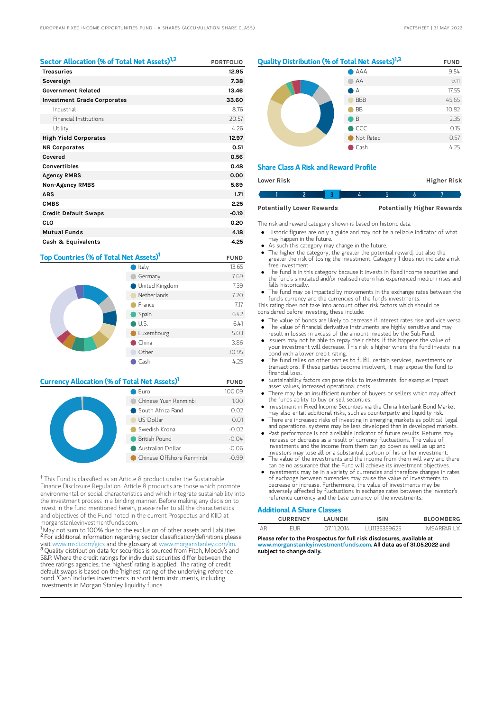| Sector Allocation (% of Total Net Assets) <sup>1,2</sup> | <b>PORTFOLIO</b> |
|----------------------------------------------------------|------------------|
| <b>Treasuries</b>                                        | 12.95            |
| Sovereign                                                | 7.38             |
| <b>Government Related</b>                                | 13.46            |
| <b>Investment Grade Corporates</b>                       | 33.60            |
| Industrial                                               | 8.76             |
| Financial Institutions                                   | 20.57            |
| Utility                                                  | 4.26             |
| <b>High Yield Corporates</b>                             | 12.97            |
| <b>NR Corporates</b>                                     | 0.51             |
| Covered                                                  | 0.56             |
| Convertibles                                             | 0.48             |
| <b>Agency RMBS</b>                                       | 0.00             |
| <b>Non-Agency RMBS</b>                                   | 5.69             |
| <b>ABS</b>                                               | 1.71             |
| <b>CMBS</b>                                              | 2.25             |
| <b>Credit Default Swaps</b>                              | $-0.19$          |
| CLO                                                      | 0.20             |
| <b>Mutual Funds</b>                                      | 4.18             |
| Cash & Equivalents                                       | 4.25             |

# Top Countries (% of Total Net Assets)<sup>1</sup> FUND



# **Currency Allocation (% of Total Net Assets)<sup>1</sup> FUND**

| Euro                      | 100.09  |
|---------------------------|---------|
| Chinese Yuan Renminbi     | 1.00    |
| South Africa Rand         | 0.02    |
| US Dollar                 | 0.01    |
| Swedish Krona             | $-0.02$ |
| <b>British Pound</b>      | $-0.04$ |
| Australian Dollar         | $-0.06$ |
| Chinese Offshore Renminbi | $-0.99$ |

<sup>†</sup> This Fund is classified as an Article 8 product under the Sustainable Finance Disclosure Regulation. Article 8 products are those which promote environmental or social characteristics and which integrate sustainability into the investment process in a binding manner. Before making any decision to invest in the fund mentioned herein, please refer to all the characteristics and objectives of the Fund noted in the current Prospectus and KIID at morganstanleyinvestmentfunds.com.

<sup>1</sup>May not sum to 100% due to the exclusion of other assets and liabilities. <sup>2</sup> For additional information regarding sector classification/definitions please visit www.msci.com/gics and the glossary at www.morganstanley.com/im. <sup>3</sup> Quality distribution data for securities is sourced from Fitch, Moody's and S&P. Where the credit ratings for individual securities differ between the three ratings agencies, the 'highest' rating is applied. The rating of credit default swaps is based on the 'highest' rating of the underlying reference bond. 'Cash' includes investments in short term instruments, including investments in Morgan Stanley liquidity funds.

# **Quality Distribution (% of Total Net Assets)**<sup>1,3</sup> FUND AAA 9.54



## Share Class A Risk and Reward Profile

| Lower Risk |  |                                  |  |  |  | <b>Higher Risk</b>                |
|------------|--|----------------------------------|--|--|--|-----------------------------------|
|            |  |                                  |  |  |  |                                   |
|            |  | <b>Potentially Lower Rewards</b> |  |  |  | <b>Potentially Higher Rewards</b> |

The risk and reward category shown is based on historic data.

- Historic figures are only a guide and may not be a reliable indicator of what may happen in the future.
- As such this category may change in the future.
- The higher the category, the greater the potential reward, but also the greater the risk of losing the investment. Category 1 does not indicate a risk .<br>free investment
- The fund is in this category because it invests in fixed income securities and the fund's simulated and/or realised return has experienced medium rises and falls historically.
- The fund may be impacted by movements in the exchange rates between the fund's currency and the currencies of the fund's investments.

This rating does not take into account other risk factors which should be considered before investing, these include:

- The value of bonds are likely to decrease if interest rates rise and vice versa.
- The value of financial derivative instruments are highly sensitive and may result in losses in excess of the amount invested by the Sub-Fund.
- $\bullet$ Issuers may not be able to repay their debts, if this happens the value of your investment will decrease. This risk is higher where the fund invests in a bond with a lower credit rating.
- The fund relies on other parties to fulfill certain services, investments or transactions. If these parties become insolvent, it may expose the fund to financial loss.
- Sustainability factors can pose risks to investments, for example: impact asset values, increased operational costs.
- There may be an insufficient number of buyers or sellers which may affect the funds ability to buy or sell securities.
- Investment in Fixed Income Securities via the China Interbank Bond Market  $\bullet$ may also entail additional risks, such as counterparty and liquidity risk.
- There are increased risks of investing in emerging markets as political, legal and operational systems may be less developed than in developed markets. Past performance is not a reliable indicator of future results. Returns may
- increase or decrease as a result of currency fluctuations. The value of investments and the income from them can go down as well as up and investors may lose all or a substantial portion of his or her investment.
- The value of the investments and the income from them will vary and there can be no assurance that the Fund will achieve its investment objectives.
- Investments may be in a variety of currencies and therefore changes in rates of exchange between currencies may cause the value of investments to decrease or increase. Furthermore, the value of investments may be adversely affected by fluctuations in exchange rates between the investor's reference currency and the base currency of the investments.

#### Additional A Share Classes

|    | <b>CURRENCY</b> | I AUNCH   | ISIN         | <b>BLOOMBERG</b> |
|----|-----------------|-----------|--------------|------------------|
| AR | FUR             | 0711 2014 | 111135359625 | <b>MSARFARIX</b> |

Please refer to the Prospectus for full risk disclosures, available at<br>www.morganstanleyinvestmentfunds.com. All data as of 31.05.202 yinvestmentfunds.com. All data as of 31.05.2022 and subject to change daily.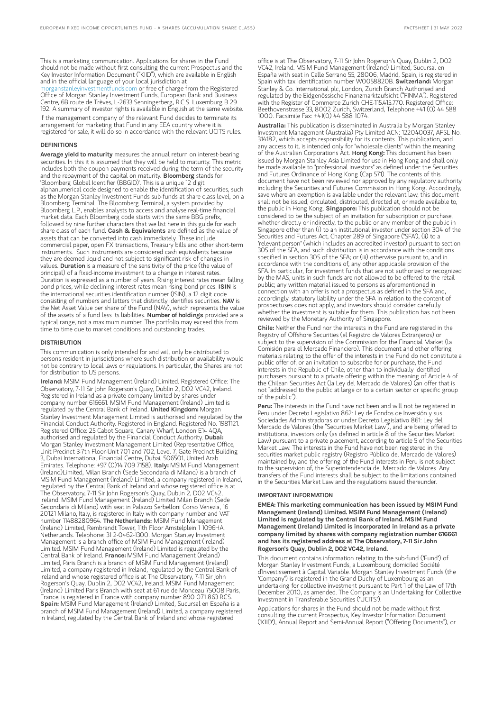This is a marketing communication. Applications for shares in the Fund should not be made without first consulting the current Prospectus and the Key Investor Information Document ("KIID"), which are available in English and in the official language of your local jurisdiction at [morganstanleyinvestmentfunds.com](https://www.morganstanley.com/im/msinvf/index.html) or free of charge from the Registered Office of Morgan Stanley Investment Funds, European Bank and Business Centre, 6B route de Trèves, L-2633 Senningerberg, R.C.S. Luxemburg B 29 192. A summary of investor rights is available in English at the same website. If the management company of the relevant Fund decides to terminate its arrangement for marketing that Fund in any EEA country where it is registered for sale, it will do so in accordance with the relevant UCITS rules.

#### DEFINITIONS

Average yield to maturity measures the annual return on interest-bearing securities. In this it is assumed that they will be held to maturity. This metric includes both the coupon payments received during the term of the security and the repayment of the capital on maturity. **Bloomberg** stands for 'Bloomberg Global Identifier (BBGID)'. This is a unique 12 digit alphanumerical code designed to enable the identification of securities, such as the Morgan Stanley Investment Funds sub-funds at share class level, on a Bloomberg Terminal. The Bloomberg Terminal, a system provided by Bloomberg L.P., enables analysts to access and analyse real-time financial market data. Each Bloomberg code starts with the same BBG prefix, followed by nine further characters that we list here in this guide for each share class of each fund. Cash & Equivalents are defined as the value of assets that can be converted into cash immediately. These include commercial paper, open FX transactions, Treasury bills and other short-term instruments. Such instruments are considered cash equivalents because they are deemed liquid and not subject to significant risk of changes in values. Duration is a measure of the sensitivity of the price (the value of principal) of a fixed-income investment to a change in interest rates. Duration is expressed as a number of years. Rising interest rates mean falling<br>bond prices, while declining interest rates mean rising bond prices. **ISIN** is the international securities identification number (ISIN), a 12 digit code consisting of numbers and letters that distinctly identifies securities. NAV is the Net Asset Value per share of the Fund (NAV), which represents the value of the assets of a fund less its liabilities. Number of holdings provided are a typical range, not a maximum number. The portfolio may exceed this from time to time due to market conditions and outstanding trades.

#### **DISTRIBUTION**

This communication is only intended for and will only be distributed to persons resident in jurisdictions where such distribution or availability would not be contrary to local laws or regulations. In particular, the Shares are not for distribution to US persons.

Ireland: MSIM Fund Management (Ireland) Limited. Registered Office: The Observatory, 7-11 Sir John Rogerson's Quay, Dublin 2, D02 VC42, Ireland. Registered in Ireland as a private company limited by shares under company number 616661. MSIM Fund Management (Ireland) Limited is regulated by the Central Bank of Ireland. United Kingdom: Morgan Stanley Investment Management Limited is authorised and regulated by the Financial Conduct Authority. Registered in England. Registered No. 1981121. Registered Office: 25 Cabot Square, Canary Wharf, London E14 4QA,<br>authorised and regulated by the Financial Conduct Authority. **Dubai:** Morgan Stanley Investment Management Limited (Representative Office, Unit Precinct 3-7th Floor-Unit 701 and 702, Level 7, Gate Precinct Building 3, Dubai International Financial Centre, Dubai, 506501, United Arab<br>Emirates. Telephone: +97 (0)14 709 7158). **Italy:** MSIM Fund Management (Ireland)Limited, Milan Branch (Sede Secondaria di Milano) is a branch of MSIM Fund Management (Ireland) Limited, a company registered in Ireland, regulated by the Central Bank of Ireland and whose registered office is at The Observatory, 7-11 Sir John Rogerson's Quay, Dublin 2, D02 VC42, Ireland. MSIM Fund Management (Ireland) Limited Milan Branch (Sede Secondaria di Milano) with seat in Palazzo Serbelloni Corso Venezia, 16 20121 Milano, Italy, is registered in Italy with company number and VAT number 11488280964. The Netherlands: MSIM Fund Management (Ireland) Limited, Rembrandt Tower, 11th Floor Amstelplein 1 1096HA, Netherlands. Telephone: 31 2-0462-1300. Morgan Stanley Investment Management is a branch office of MSIM Fund Management (Ireland) Limited. MSIM Fund Management (Ireland) Limited is regulated by the<br>Central Bank of Ireland. **France:** MSIM Fund Management (Ireland) Limited, Paris Branch is a branch of MSIM Fund Management (Ireland) Limited, a company registered in Ireland, regulated by the Central Bank of Ireland and whose registered office is at The Observatory, 7-11 Sir John Rogerson's Quay, Dublin 2, D02 VC42, Ireland. MSIM Fund Management (Ireland) Limited Paris Branch with seat at 61 rue de Monceau 75008 Paris, France, is registered in France with company number 890 071 863 RCS. Spain: MSIM Fund Management (Ireland) Limited, Sucursal en España is a branch of MSIM Fund Management (Ireland) Limited, a company registered in Ireland, regulated by the Central Bank of Ireland and whose registered

office is at The Observatory, 7-11 Sir John Rogerson's Quay, Dublin 2, D02 VC42, Ireland. MSIM Fund Management (Ireland) Limited, Sucursal en España with seat in Calle Serrano 55, 28006, Madrid, Spain, is registered in Spain with tax identification number W0058820B. Switzerland: Morgan Stanley & Co. International plc, London, Zurich Branch Authorised and regulated by the Eidgenössische Finanzmarktaufsicht ("FINMA"). Registered with the Register of Commerce Zurich CHE-115.415.770. Registered Office: Beethovenstrasse 33, 8002 Zurich, Switzerland, Telephone +41 (0) 44 588 1000. Facsimile Fax: +41(0) 44 588 1074.

Australia: This publication is disseminated in Australia by Morgan Stanley Investment Management (Australia) Pty Limited ACN: 122040037, AFSL No. 314182, which accepts responsibility for its contents. This publication, and any access to it, is intended only for "wholesale clients" within the meaning of the Australian Corporations Act. Hong Kong: This document has been issued by Morgan Stanley Asia Limited for use in Hong Kong and shall only be made available to "professional investors" as defined under the Securities and Futures Ordinance of Hong Kong (Cap 571). The contents of this document have not been reviewed nor approved by any regulatory authority including the Securities and Futures Commission in Hong Kong. Accordingly, save where an exemption is available under the relevant law, this document shall not be issued, circulated, distributed, directed at, or made available to, the public in Hong Kong. Singapore: This publication should not be considered to be the subject of an invitation for subscription or purchase, whether directly or indirectly, to the public or any member of the public Singapore other than (i) to an institutional investor under section 304 of the Securities and Futures Act, Chapter 289 of Singapore ("SFA"), (ii) to a "relevant person" (which includes an accredited investor) pursuant to section 305 of the SFA, and such distribution is in accordance with the conditions specified in section 305 of the SFA; or (iii) otherwise pursuant to, and in accordance with the conditions of, any other applicable provision of the SFA. In particular, for investment funds that are not authorized or recognized by the MAS, units in such funds are not allowed to be offered to the retail public; any written material issued to persons as aforementioned in connection with an offer is not a prospectus as defined in the SFA and, accordingly, statutory liability under the SFA in relation to the content of prospectuses does not apply, and investors should consider carefully whether the investment is suitable for them. This publication has not been reviewed by the Monetary Authority of Singapore.

Chile: Neither the Fund nor the interests in the Fund are registered in the Registry of Offshore Securities (el Registro de Valores Extranjeros) or subject to the supervision of the Commission for the Financial Market (la Comisión para el Mercado Financiero). This document and other offering materials relating to the offer of the interests in the Fund do not constitute a public offer of, or an invitation to subscribe for or purchase, the Fund interests in the Republic of Chile, other than to individually identified purchasers pursuant to a private offering within the meaning of Article 4 of the Chilean Securities Act (la Ley del Mercado de Valores) (an offer that is not "addressed to the public at large or to a certain sector or specific group of the public").

Peru: The interests in the Fund have not been and will not be registered in Peru under Decreto Legislativo 862: Ley de Fondos de Inversión y sus Sociedades Administradoras or under Decreto Legislativo 861: Ley del Mercado de Valores (the "Securities Market Law"), and are being offered to institutional investors only (as defined in article 8 of the Securities Market Law) pursuant to a private placement, according to article 5 of the Securities Market Law. The interests in the Fund have not been registered in the securities market public registry (Registro Público del Mercado de Valores) maintained by, and the offering of the Fund interests in Peru is not subject to the supervision of, the Superintendencia del Mercado de Valores. Any transfers of the Fund interests shall be subject to the limitations contained in the Securities Market Law and the regulations issued thereunder.

#### IMPORTANT INFORMATION

EMEA: This marketing communication has been issued by MSIM Fund Management (Ireland) Limited. MSIM Fund Management (Ireland) Limited is regulated by the Central Bank of Ireland. MSIM Fund Management (Ireland) Limited is incorporated in Ireland as a private company limited by shares with company registration number 616661 and has its registered address at The Observatory, 7-11 Sir John Rogerson's Quay, Dublin 2, D02 VC42, Ireland.

This document contains information relating to the sub-fund ("Fund") of Morgan Stanley Investment Funds, a Luxembourg domiciled Société d'Investissement à Capital Variable. Morgan Stanley Investment Funds (the "Company") is registered in the Grand Duchy of Luxembourg as an undertaking for collective investment pursuant to Part 1 of the Law of 17th December 2010, as amended. The Company is an Undertaking for Collective Investment in Transferable Securities ("UCITS").

Applications for shares in the Fund should not be made without first consulting the current Prospectus, Key Investor Information Document ("KIID"), Annual Report and Semi-Annual Report ("Offering Documents"), or